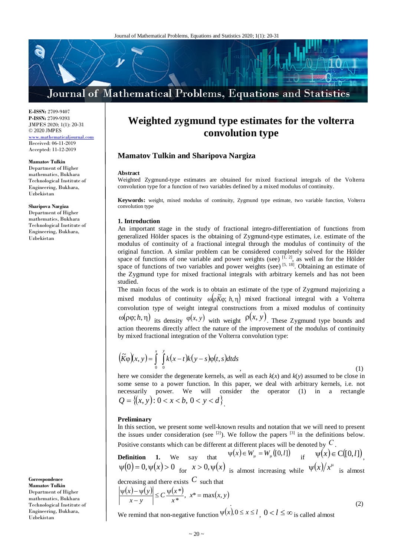# Journal of Mathematical Problems, Equations and Statistics

**E-ISSN:** 2709-9407 **P-ISSN:** 2709-9393 JMPES 2020; 1(1): 20-31 © 2020 JMPES www.mathematicaljournal

Received: 06-11-2019 Accepted: 11-12-2019

#### **Mamatov Tulkin**

Department of Higher mathematics, Bukhara Technological Institute of Engineering, Bukhara, Uzbekistan

#### **Sharipova Nargiza**

Department of Higher mathematics, Bukhara Technological Institute of Engineering, Bukhara, Uzbekistan

**Correspondence Mamatov Tulkin** Department of Higher mathematics, Bukhara Technological Institute of Engineering, Bukhara, Uzbekistan

## **Weighted zygmund type estimates for the volterra convolution type**

## **Mamatov Tulkin and Sharipova Nargiza**

#### **Abstract**

Weighted Zygmund-type estimates are obtained for mixed fractional integrals of the Volterra convolution type for a function of two variables defined by a mixed modulus of continuity.

**Keywords:** weight, mixed modulus of continuity, Zygmund type estimate, two variable function, Volterra convolution type

#### **1. Introduction**

An important stage in the study of fractional integro-differentiation of functions from generalized Hölder spaces is the obtaining of Zygmund-type estimates, i.e. estimate of the modulus of continuity of a fractional integral through the modulus of continuity of the original function. A similar problem can be considered completely solved for the Hölder space of functions of one variable and power weights (see)  $\left[1, 2\right]$ , as well as for the Hölder space of functions of two variables and power weights (see)  $[5, 18]$ . Obtaining an estimate of the Zygmund type for mixed fractional integrals with arbitrary kernels and has not been studied.

The main focus of the work is to obtain an estimate of the type of Zygmund majorizing a mixed modulus of continuity  $\omega(\rho \tilde{K}\varphi; h, \eta)$  mixed fractional integral with a Volterra convolution type of weight integral constructions from a mixed modulus of continuity  $ω(ρφ; h,η)$  its density  $φ(x, y)$  with weight  $ρ(x, y)$ . These Zygmund type bounds and action theorems directly affect the nature of the improvement of the modulus of continuity by mixed fractional integration of the Volterra convolution type:

$$
\left(\widetilde{K}\varphi\right)(x, y) = \int_{0}^{x} \int_{0}^{y} k(x - t)k(y - s)\varphi(t, s)dtds
$$
\n(1)

here we consider the degenerate kernels, as well as each *k*(*x*) and *k*(*y*) assumed to be close in some sense to a power function. In this paper, we deal with arbitrary kernels, i.e. not necessarily power. We will consider the operator (1) in a rectangle  $Q = \{(x, y): 0 < x < b, 0 < y < d\}$ 

#### **Preliminary**

In this section, we present some well-known results and notation that we will need to present the issues under consideration (see  $[2]$ ). We follow the papers  $[3]$  in the definitions below. Positive constants which can be different at different places will be denoted by *С* .

**Definition** 1. We say that  $\Psi(x) \in W_\mu = W_\mu([0, l])$  if  $\Psi(x) \in C([0, l])$ ,  $ψ(0) = 0, ψ(x) > 0$  for  $x > 0, ψ(x)$  is almost increasing while  $ψ(x)/x<sup>μ</sup>$  is almost decreasing and there exists *C* such that

$$
\left|\frac{\psi(x) - \psi(y)}{x - y}\right| \le C \frac{\psi(x^*)}{x^*}, \ x^* = \max(x, y)
$$
\n(2)

We remind that non-negative function  $\Psi(x)$ ,  $0 \le x \le l$ ,  $0 < l \le \infty$  is called almost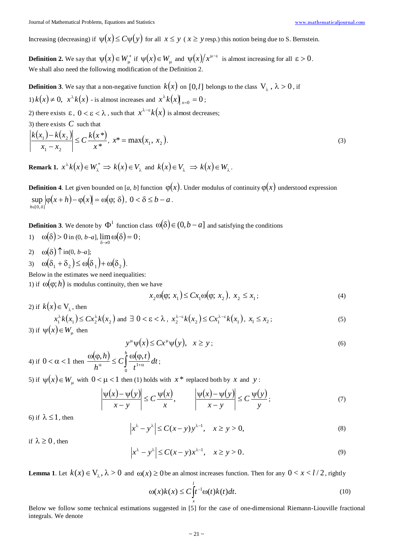Increasing (decreasing) if  $\psi(x) \le C \psi(y)$  for all  $x \le y$  ( $x \ge y$  resp.) this notion being due to S. Bernstein.

**Definition 2.** We say that  $\psi(x) \in W^*_{\mu}$  if  $\psi(x) \in W^*_{\mu}$  and  $\psi(x)/x^{\mu-\epsilon}$  is almost increasing for all  $\epsilon > 0$ . We shall also need the following modification of the Definition 2.

**Definition 3**. We say that a non-negative function  $k(x)$  on [0,*l*] belongs to the class  $V_{\lambda}$ ,  $\lambda > 0$ , if 1)  $k(x) \neq 0$ ,  $x^{\lambda} k(x)$  - is almost increases and  $x^{\lambda} k(x)$   $_{x=0} = 0$ ;

2) there exists  $\varepsilon$ ,  $0 < \varepsilon < \lambda$ , such that  $x^{\lambda-\varepsilon}k(x)$  is almost decreases;

3) there exists  $C$  such that

$$
\left| \frac{k(x_1) - k(x_2)}{x_1 - x_2} \right| \le C \frac{k(x^*)}{x^*}, \ x^* = \max(x_1, \ x_2).
$$
\n(3)

**Remark 1.**  $x^{\lambda}k(x) \in W_{\lambda}^* \implies k(x) \in V_{\lambda}$  and  $k(x) \in V_{\lambda} \implies k(x) \in W_{\lambda}$ .

**Definition 4**. Let given bounded on [*a*, *b*] function  $\varphi(x)$ . Under modulus of continuity  $\varphi(x)$  understood expression  $\sup |\varphi(x+h) - \varphi(x)| = \omega(\varphi; \delta), \ 0 < \delta \leq b - a$ .  $h \in [0, \delta]$ 

**Definition 3**. We denote by  $\Phi^1$  function class  $\omega(\delta) \in (0, b - a]$  and satisfying the conditions

- 1)  $\omega(\delta) > 0$  in (0, *b*-*a*],  $\lim_{\delta \to 0} \omega(\delta) = 0$ ;
- 2)  $\omega(\delta) \uparrow \text{in}(0, b-a];$
- 3)  $\omega(\delta_1 + \delta_2) \leq \omega(\delta_1) + \omega(\delta_2)$ .

Below in the estimates we need inequalities:

1) if  $\omega(\varphi; h)$  is modulus continuity, then we have

$$
x_2 \omega(\varphi; x_1) \le C x_1 \omega(\varphi; x_2), x_2 \le x_1;
$$
\n<sup>(4)</sup>

2) if 
$$
k(x) \in V_{\lambda}
$$
, then  
\n
$$
x_1^{\lambda}k(x_1) \le Cx_2^{\lambda}k(x_2) \text{ and } \exists 0 < \varepsilon < \lambda, x_2^{\lambda-\varepsilon}k(x_2) \le Cx_1^{\lambda-\varepsilon}k(x_1), x_1 \le x_2;
$$
\n(5)

$$
y^{\mu}\psi(x) \le C x^{\mu}\psi(y), \quad x \ge y \tag{6}
$$

4) if  $0 < \alpha < 1$  then  $\frac{\omega(\varphi, h)}{h^{\alpha}} \le C \int_{0}^{h} \frac{\omega(\varphi, t)}{t^{1+\alpha}}$ *dt t*  $c \int_{1+\alpha}^{n} \frac{\omega(\varphi, t)}{1+\alpha}$ *h h*  $\boldsymbol{0}$  $\frac{1}{\alpha},h\Big)\leq C\int\limits^h\frac{\omega(\varphi,t)}{t^{1+\alpha}}dt$ ;

5) if  $\psi(x) \in W$ <sub>u</sub> with  $0 < \mu < 1$  then (1) holds with  $x^*$  replaced both by *x* and *y*:

$$
\left|\frac{\psi(x) - \psi(y)}{x - y}\right| \le C \frac{\psi(x)}{x}, \qquad \left|\frac{\psi(x) - \psi(y)}{x - y}\right| \le C \frac{\psi(y)}{y};\tag{7}
$$

6) if  $\lambda \leq 1$ , then

$$
|x^{\lambda} - y^{\lambda}| \le C(x - y) y^{\lambda - 1}, \quad x \ge y > 0,
$$
\n<sup>(8)</sup>

if  $\lambda \geq 0$ , then

$$
|x^{\lambda} - y^{\lambda}| \le C(x - y)x^{\lambda - 1}, \quad x \ge y > 0.
$$
 (9)

**Lemma 1**. Let  $k(x) \in V$ <sub> $\lambda$ </sub>,  $\lambda > 0$  and  $\omega(x) \ge 0$  be an almost increases function. Then for any  $0 < x < l/2$ , rightly

$$
\omega(x)k(x) \le C \int_{x}^{l} t^{-1} \omega(t)k(t)dt.
$$
\n(10)

Below we follow some technical estimations suggested in [5] for the case of one-dimensional Riemann-Liouville fractional integrals. We denote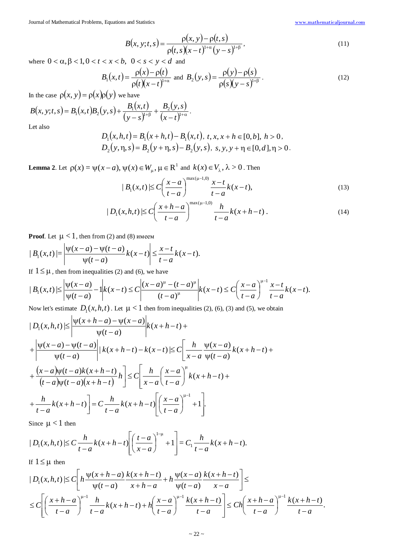$$
B(x, y; t, s) = \frac{\rho(x, y) - \rho(t, s)}{\rho(t, s)(x - t)^{1 + \alpha}(y - s)^{1 + \beta}},
$$
\n(11)

where  $0 < \alpha, \beta < 1, 0 < t < x < b$ ,  $0 < s < y < d$  and

$$
B_1(x,t) = \frac{\rho(x) - \rho(t)}{\rho(t)(x-t)^{1+\alpha}} \text{ and } B_2(y,s) = \frac{\rho(y) - \rho(s)}{\rho(s)(y-s)^{1+\beta}}.
$$
 (12)

In the case  $\rho(x, y) = \rho(x)\rho(y)$  we have

$$
B(x, y; t, s) = B_1(x, t)B_2(y, s) + \frac{B_1(x, t)}{(y - s)^{1 + \beta}} + \frac{B_2(y, s)}{(x - t)^{1 + \alpha}}.
$$

 $\mathcal{L}$ 

Let also

$$
D_1(x, h, t) = B_1(x + h, t) - B_1(x, t), t, x, x + h \in [0, b], h > 0,
$$
  
\n
$$
D_2(y, \eta, s) = B_2(y + \eta, s) - B_2(y, s), s, y, y + \eta \in [0, d], \eta > 0.
$$

**Lemma 2**. Let  $\rho(x) = \psi(x-a)$ ,  $\psi(x) \in W_\mu$ ,  $\mu \in \mathbb{R}^1$  and  $k(x) \in V_\lambda$ ,  $\lambda > 0$ . Then

$$
|B_1(x,t)| \le C \left(\frac{x-a}{t-a}\right)^{\max(\mu-1,0)} \frac{x-t}{t-a} k(x-t), \tag{13}
$$

$$
|D_1(x, h, t)| \le C \left(\frac{x + h - a}{t - a}\right)^{\max(\mu - 1, 0)} \frac{h}{t - a} k(x + h - t).
$$
 (14)

**Proof.** Let  $\mu < 1$ , then from (2) and (8) имеем

$$
|B_1(x,t)| = \left|\frac{\psi(x-a) - \psi(t-a)}{\psi(t-a)}k(x-t)\right| \leq \frac{x-t}{t-a}k(x-t).
$$

If  $1 \leq \mu$ , then from inequalities (2) and (6), we have

$$
|B_1(x,t)| \leq \left| \frac{\psi(x-a)}{\psi(t-a)} - 1 \right| k(x-t) \leq C \left| \frac{(x-a)^{\mu} - (t-a)^{\mu}}{(t-a)^{\mu}} \right| k(x-t) \leq C \left( \frac{x-a}{t-a} \right)^{\mu-1} \frac{x-t}{t-a} k(x-t).
$$

Now let's estimate  $D_1(x, h, t)$ . Let  $\mu < 1$  then from inequalities (2), (6), (3) and (5), we obtain

$$
|D_1(x, h, t)| \leq \left| \frac{\psi(x+h-a) - \psi(x-a)}{\psi(t-a)} \right| k(x+h-t) +
$$
  
+ 
$$
\left| \frac{\psi(x-a) - \psi(t-a)}{\psi(t-a)} \right| |k(x+h-t) - k(x-t)| \leq C \left[ \frac{h}{x-a} \frac{\psi(x-a)}{\psi(t-a)} k(x+h-t) +
$$
  
+ 
$$
\frac{(x-a)\psi(t-a)k(x+h-t)}{(t-a)\psi(t-a)(x+h-t)} h \right] \leq C \left[ \frac{h}{x-a} \left( \frac{x-a}{t-a} \right)^{\mu} k(x+h-t) +
$$
  
+ 
$$
\frac{h}{t-a} k(x+h-t) \right] = C \frac{h}{t-a} k(x+h-t) \left[ \left( \frac{x-a}{t-a} \right)^{\mu-1} + 1 \right].
$$

Since  $\mu < 1$  then

$$
|D_1(x, h, t)| \le C \frac{h}{t-a} k(x+h-t) \left[ \left( \frac{t-a}{x-a} \right)^{1-\mu} + 1 \right] = C_1 \frac{h}{t-a} k(x+h-t).
$$

If  $1 \leq \mu$  then

$$
|D_1(x, h, t)| \le C \left[ h \frac{\psi(x+h-a)}{\psi(t-a)} \frac{k(x+h-t)}{x+h-a} + h \frac{\psi(x-a)}{\psi(t-a)} \frac{k(x+h-t)}{x-a} \right] \le
$$
  

$$
\le C \left[ \left( \frac{x+h-a}{t-a} \right)^{\mu-1} \frac{h}{t-a} k(x+h-t) + h \left( \frac{x-a}{t-a} \right)^{\mu-1} \frac{k(x+h-t)}{t-a} \right] \le C h \left( \frac{x+h-a}{t-a} \right)^{\mu-1} \frac{k(x+h-t)}{t-a}.
$$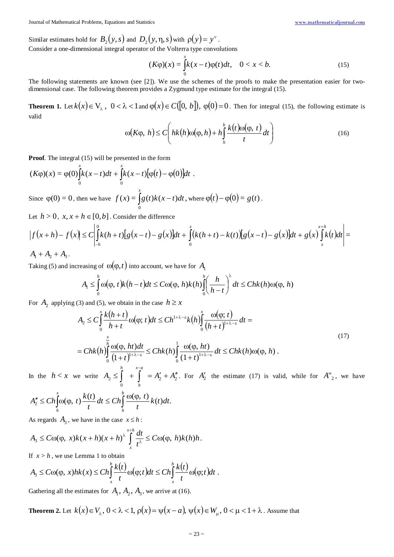Similar estimates hold for  $B_2(y, s)$  and  $D_2(y, \eta, s)$  with  $\rho(y) = y^{\nu}$ .

Consider a one-dimensional integral operator of the Volterra type convolutions

$$
(K\varphi)(x) = \int_{0}^{x} k(x-t)\varphi(t)dt, \quad 0 < x < b. \tag{15}
$$

The following statements are known (see [2]). We use the schemes of the proofs to make the presentation easier for twodimensional case. The following theorem provides a Zygmund type estimate for the integral (15).

**Theorem 1.** Let  $k(x) \in V$ ,  $0 < \lambda < 1$  and  $\varphi(x) \in C([0, b])$ ,  $\varphi(0) = 0$ . Then for integral (15), the following estimate is valid

$$
\omega(K\varphi, h) \le C \left( hk(h)\omega(\varphi, h) + h \int_{h}^{b} \frac{k(t)\omega(\varphi, t)}{t} dt \right)
$$
(16)

**Proof.** The integral (15) will be presented in the form

$$
(K\varphi)(x) = \varphi(0)\int_{0}^{x} k(x-t)dt + \int_{0}^{x} k(x-t)[\varphi(t) - \varphi(0)]dt.
$$
  
Since  $\varphi(0) = 0$ , then we have  $f(x) = \int_{0}^{x} g(t)k(x-t)dt$ , where  $\varphi(t) - \varphi(0) = g(t)$ .

Let  $h > 0$ ,  $x, x + h \in [0, b]$ . Consider the difference

$$
\left|f(x+h)-f(x)\right| \leq C \left| \int_{-h}^{0} k(h+t) \left[g(x-t)-g(x)\right] dt + \int_{0}^{x} (k(h+t)-k(t)) \left[g(x-t)-g(x)\right] dt + g(x) \int_{x}^{x+h} k(t) dt \right| =
$$

 $A_1 + A_2 + A_3$ .

Taking (5) and increasing of  $\omega(\varphi, t)$  into account, we have for  $A_1$ 

$$
A_1 \leq \int_0^h \omega(\varphi, t) k(h-t) dt \leq C \omega(\varphi, h) k(h) \int_0^h \left(\frac{h}{h-t}\right)^{\lambda} dt \leq Chk(h) \omega(\varphi, h)
$$

For  $A_2$  applying (3) and (5), we obtain in the case  $h \ge x$ 

$$
A_2 \leq C \int_0^x \frac{k(h+t)}{h+t} \omega(\varphi; t) dt \leq Ch^{1+\lambda-\varepsilon} k(h) \int_0^x \frac{\omega(\varphi; t)}{(h+t)^{1+\lambda-\varepsilon}} dt =
$$
  
= Chk $(h) \int_0^{\frac{x}{h}} \frac{\omega(\varphi, ht) dt}{(1+t)^{1+\lambda-\varepsilon}} \leq Chk(h) \int_0^1 \frac{\omega(\varphi, ht)}{(1+t)^{1+\lambda-\varepsilon}} dt \leq Chk(h) \omega(\varphi, h).$  (17)

In the  $h < x$  we write  $A_2 \leq \left| + \right| = A'_2 + A''_2$  $\mathbf{0}$  $A_2 \leq \left| + \right| = A'_2 + A$ *h*  $\leq \int + \int = A'_2 + A''_2$ For  $A'_2$  the estimate (17) is valid, while for  $A''_2$ , we have

$$
A_2'' \leq Ch \int_h^x \omega(\varphi, t) \frac{k(t)}{t} dt \leq Ch \int_h^b \frac{\omega(\varphi, t)}{t} k(t) dt.
$$

As regards  $A_3$ , we have in the case  $x \le h$ :

$$
A_3 \leq C\omega(\varphi, x)k(x+h)(x+h)^{\lambda}\int_x^{x+h}\frac{dt}{t^{\lambda}} \leq C\omega(\varphi, h)k(h)h.
$$

If  $x > h$ , we use Lemma 1 to obtain

$$
A_3 \leq C\omega(\varphi, x)hk(x) \leq Ch\int_x^b \frac{k(t)}{t}\omega(\varphi; t)dt \leq Ch\int_x^b \frac{k(t)}{t}\omega(\varphi; t)dt.
$$

Gathering all the estimates for  $A_1$ ,  $A_2$ ,  $A_3$ , we arrive at (16).

**Theorem 2.** Let  $k(x) \in V_\lambda$ ,  $0 < \lambda < 1$ ,  $\rho(x) = \psi(x - a)$ ,  $\psi(x) \in W_\mu$ ,  $0 < \mu < 1 + \lambda$ . Assume that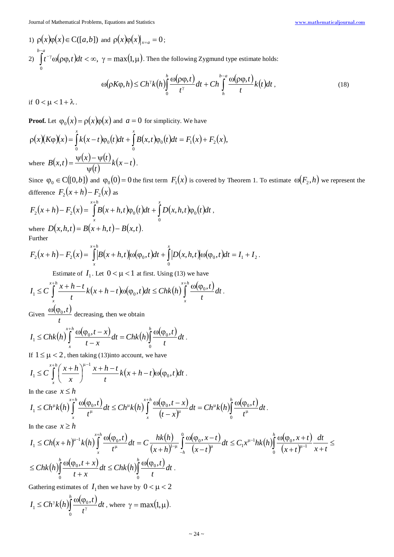1)  $\rho(x)\rho(x) \in C([a,b])$  and  $\rho(x)\rho(x)|_{x=a} = 0$ ; 2)  $\int t^{-\gamma} \omega(\rho \varphi, t) dt < \infty$ ,  $\gamma = \max(1, \mu)$ −  $\int_{-\gamma}^{\gamma} \omega(\rho \varphi, t) dt < \infty$ ,  $\gamma = \max(1,$  $\boldsymbol{0}$ *b a*  $t^{-\gamma} \omega(\rho \varphi, t) dt < \infty$ ,  $\gamma = \max(1, \mu)$ . Then the following Zygmund type estimate holds:

$$
\omega(\rho K \varphi, h) \le C h^{\gamma} k(h) \int_{0}^{h} \frac{\omega(\rho \varphi, t)}{t^{\gamma}} dt + C h \int_{h}^{h-a} \frac{\omega(\rho \varphi, t)}{t} k(t) dt , \qquad (18)
$$

if  $0 < \mu < 1 + \lambda$ .

**Proof.** Let  $\varphi_0(x) = \rho(x)\varphi(x)$  and  $a = 0$  for simplicity. We have

$$
\rho(x)(K\varphi)(x) = \int_0^x k(x-t)\varphi_0(t)dt + \int_0^x B(x,t)\varphi_0(t)dt = F_1(x) + F_2(x),
$$
  
where 
$$
B(x,t) = \frac{\psi(x) - \psi(t)}{\psi(t)}k(x-t).
$$

Since  $\varphi_0 \in C([0,b])$  and  $\varphi_0(0) = 0$  the first term  $F_1(x)$  is covered by Theorem 1. To estimate  $\omega(F_2, h)$  we represent the difference  $F_2(x+h) - F_2(x)$  as

$$
F_2(x+h) - F_2(x) = \int_{x+h}^{x+h} B(x+h,t)\varphi_0(t)dt + \int_{0}^{x} D(x,h,t)\varphi_0(t)dt,
$$
  
where  $D(x,h,t) = B(x+h,t) - B(x,t)$ .

Further

$$
F_2(x+h) - F_2(x) = \int_{x}^{x+h} B(x+h,t) \omega(\varphi_0,t) dt + \int_{0}^{x} |D(x,h,t) \omega(\varphi_0,t) dt = I_1 + I_2.
$$

Estimate of  $I_1$ . Let  $0 < \mu < 1$  at first. Using (13) we have

$$
I_1 \leq C \int_{x}^{x+h} \frac{x+h-t}{t} k(x+h-t) \omega(\varphi_0,t) dt \leq Chk(h) \int_{x}^{x+h} \frac{\omega(\varphi_0,t)}{t} dt.
$$

Given  $\frac{\omega(\varphi_0, t)}{\varphi}$ *t*  $\frac{\omega(\varphi_0,t)}{\varphi_0}$  decreasing, then we obtain

$$
I_1 \leq Chk(h)\int_x^{x+h} \frac{\omega(\varphi_0,t-x)}{t-x}dt = Chk(h)\int_0^h \frac{\omega(\varphi_0,t)}{t}dt.
$$

If  $1 \leq \mu < 2$ , then taking (13)into account, we have

$$
I_1 \leq C \int\limits_x^{x+h} \left(\frac{x+h}{x}\right)^{u-1} \frac{x+h-t}{t} k\big(x+h-t\big) \omega(\varphi_0,t) dt \; .
$$

In the case  $x \leq h$ 

$$
I_1 \leq Ch^{\mu}k(h)\int_x^{x+h}\frac{\omega(\varphi_0,t)}{t^{\mu}}dt \leq Ch^{\mu}k(h)\int_x^{x+h}\frac{\omega(\varphi_0,t-x)}{(t-x)^{\mu}}dt = Ch^{\mu}k(h)\int_0^h\frac{\omega(\varphi_0,t)}{t^{\mu}}dt.
$$

In the case  $x \geq h$ 

$$
I_{1} \leq Ch(x+h)^{u-1}k(h)\int_{x}^{x+h}\frac{\omega(\varphi_{0},t)}{t^{u}}dt = C\frac{hk(h)}{(x+h)^{u-1}}\int_{-h}^{0}\frac{\omega(\varphi_{0},x-t)}{(x-t)^{u}}dt \leq C_{1}x^{u-1}hk(h)\int_{0}^{h}\frac{\omega(\varphi_{0},x+t)}{(x+t)^{u-1}}\frac{dt}{x+t} \leq
$$
  

$$
\leq Chk(h)\int_{0}^{h}\frac{\omega(\varphi_{0},t+x)}{t+x}dt \leq Chk(h)\int_{0}^{h}\frac{\omega(\varphi_{0},t)}{t}dt.
$$

Gathering estimates of  $I_1$  then we have by  $0 < \mu < 2$ 

$$
I_1 \leq Ch^{\gamma}k(h)\int_0^h \frac{\omega(\varphi_0,t)}{t^{\gamma}}dt
$$
, where  $\gamma = \max(1,\mu)$ .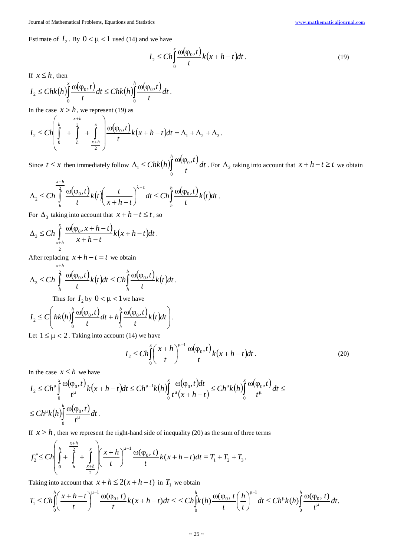Estimate of  $I_2$ . By  $0 < \mu < 1$  used (14) and we have

$$
I_2 \le C h \int_0^x \frac{\omega(\varphi_0, t)}{t} k(x + h - t) dt.
$$
 (19)

If  $x \leq h$ , then

$$
I_2 \leq Chk\big(h\big)\int_0^x \frac{\omega(\varphi_0,t)}{t}dt \leq Chk\big(h\big)\int_0^h \frac{\omega(\varphi_0,t)}{t}dt.
$$

In the case  $x > h$ , we represent (19) as

$$
I_2 \leq C h \left( \int_0^h + \int_{h}^{\frac{x+h}{2}} + \int_{\frac{x+h}{2}}^x \right) \frac{\omega(\varphi_0, t)}{t} k(x+h-t) dt = \Delta_1 + \Delta_2 + \Delta_3.
$$

Since  $t \leq x$  then immediately follow  $\Delta_1 \leq Chk(h) \int_1^h \frac{\omega(\varphi_0, t)}{t}$ *dt t*  $\int_{0}^{n} \frac{\omega(\varphi_{0},t)}{t}$  $\mathbf{0}$  $\sum_{k=1}^n$  ≤  $Chk(h)$   $\int_0^n$   $\frac{\omega(\varphi_0, t)}{t}$  dt. For  $\Delta_2$  taking into account that  $x + h - t \ge t$  we obtain

$$
\Delta_2 \le Ch \int_0^{\frac{x+h}{2}} \frac{\omega(\varphi_0, t)}{t} k(t) \left(\frac{t}{x+h-t}\right)^{\lambda-\varepsilon} dt \le Ch \int_0^b \frac{\omega(\varphi_0, t)}{t} k(t) dt.
$$

For  $\Delta_3$  taking into account that  $x + h - t \le t$ , so

$$
\Delta_3 \le C h \int_{\frac{x+h}{2}}^x \frac{\omega(\varphi_0, x+h-t)}{x+h-t} k(x+h-t) dt.
$$

After replacing  $x + h - t = t$  we obtain

+ *x h*

$$
\Delta_3 \leq Ch \int\limits_h^{2} \frac{\omega(\varphi_0,t)}{t} k(t) dt \leq Ch \int\limits_h^{b} \frac{\omega(\varphi_0,t)}{t} k(t) dt.
$$

Thus for  $I_2$  by  $0 < \mu < 1$  we have

$$
I_2 \leq C \bigg(hk\big(h\big)\bigg(\frac{1}{t}\bigg)\frac{\omega(\varphi_0,t)}{t}dt + h\bigg(\frac{1}{t}\bigg)\frac{\omega(\varphi_0,t)}{t}k\big(t\bigg)dt\bigg).
$$

Let  $1 \leq \mu < 2$ . Taking into account (14) we have

$$
I_2 \le C h \int_0^x \left(\frac{x+h}{t}\right)^{\mu-1} \frac{\omega(\varphi_0, t)}{t} k\big(x+h-t\big) dt \,. \tag{20}
$$

In the case  $x \leq h$  we have

$$
I_2 \leq Ch^{\mu} \int_0^x \frac{\omega(\varphi_0, t)}{t^{\mu}} k(x + h - t) dt \leq Ch^{\mu+1} k(h) \int_0^x \frac{\omega(\varphi_0, t) dt}{t^{\mu}(x + h - t)} \leq Ch^{\mu} k(h) \int_0^x \frac{\omega(\varphi_0, t)}{t^{\mu}} dt \leq
$$
  

$$
\leq Ch^{\mu} k(h) \int_0^h \frac{\omega(\varphi_0, t)}{t^{\mu}} dt.
$$

If  $x > h$ , then we represent the right-hand side of inequality (20) as the sum of three terms

$$
f_2'' \leq C h \left( \int_0^h + \int_{\frac{x+h}{2}}^{\frac{x+h}{2}} + \int_{\frac{x+h}{2}}^x \right) \left( \frac{x+h}{t} \right)^{\mu-1} \frac{\omega(\varphi_0, t)}{t} k(x+h-t) dt = T_1 + T_2 + T_3.
$$

Taking into account that  $x + h \le 2(x + h - t)$  in  $T_1$  we obtain

$$
T_1 \leq Ch \int_0^h \left(\frac{x+h-t}{t}\right)^{\mu-1} \frac{\omega(\varphi_0,t)}{t} k(x+h-t) dt \leq C h \int_0^h k(h) \frac{\omega(\varphi_0,t)}{t} \left(\frac{h}{t}\right)^{\mu-1} dt \leq Ch^{\mu} k(h) \int_0^h \frac{\omega(\varphi_0,t)}{t^{\mu}} dt.
$$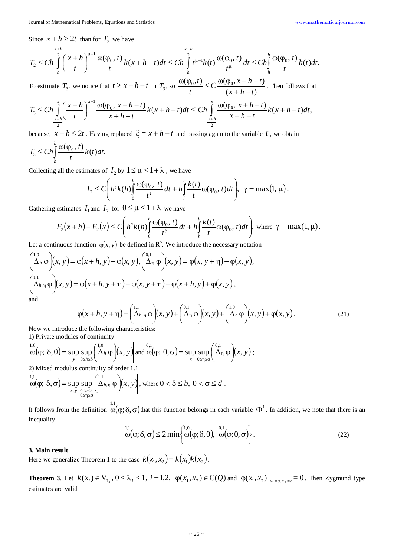Since  $x + h \geq 2t$  than for  $T_2$  we have

$$
T_2 \leq C h \int_{h}^{\frac{x+h}{2}} \left( \frac{x+h}{t} \right)^{\mu-1} \frac{\omega(\varphi_0, t)}{t} k(x+h-t) dt \leq C h \int_{h}^{\frac{x+h}{2}} t^{\mu-1} k(t) \frac{\omega(\varphi_0, t)}{t^{\mu}} dt \leq C h \int_{h}^{\frac{h}{2}} \frac{\omega(\varphi_0, t)}{t} k(t) dt.
$$

To estimate  $T_3$ , we notice that  $t \ge x + h - t$  in  $T_3$ , so  $\frac{\omega(\varphi_0, t)}{t} \le C \frac{\omega(\varphi_0, x + h - t)}{(x + h - t)}$  $x + h - t$  $C \frac{\omega(\varphi_0, x+h-t)}{a}$ *t t*  $+h \frac{\omega(\varphi_0, t)}{\omega} \leq C \frac{\omega(\varphi_0, x + h - t)}{\omega}$ . Then follows that

$$
T_3 \leq Ch \int_{\frac{x+h}{2}}^{x} \left( \frac{x+h}{t} \right)^{\mu-1} \frac{\omega(\varphi_0, x+h-t)}{x+h-t} k(x+h-t) dt \leq Ch \int_{\frac{x+h}{2}}^{x} \frac{\omega(\varphi_0, x+h-t)}{x+h-t} k(x+h-t) dt,
$$

because,  $x + h \leq 2t$ . Having replaced  $\xi = x + h - t$  and passing again to the variable *t*, we obtain

$$
T_3 \leq Ch \int_{h}^{b} \frac{\omega(\varphi_0, t)}{t} k(t) dt.
$$

Collecting all the estimates of  $I_2$  by  $1 \leq \mu < 1 + \lambda$ , we have

$$
I_2 \leq C\bigg(h^{\gamma}k(h)\bigg\{\frac{h}{t^{\gamma}}\frac{\omega(\varphi_0, t)}{t^{\gamma}}dt + h\bigg\{\frac{h}{t}\frac{h(t)}{t}\omega(\varphi_0, t)dt\bigg\}, \ \gamma = \max(1, \mu).
$$

Gathering estimates  $I_1$  and  $I_2$  for  $0 \le \mu < 1 + \lambda$  we have

$$
\left|F_2(x+h)-F_2(x)\right|\leq C\left(h^{\gamma}k(h)\int_0^h\frac{\omega(\varphi_0,t)}{t^{\gamma}}dt+h\int_h^h\frac{k(t)}{t}\omega(\varphi_0,t)dt\right), \text{ where } \gamma=\max(1,\mu).
$$

Let a continuous function  $\varphi(x, y)$  be defined in R<sup>2</sup>. We introduce the necessary notation

$$
\begin{pmatrix}\n1.0 \\
\Delta_h \varphi\n\end{pmatrix}\n(x, y) = \varphi(x + h, y) - \varphi(x, y), \n\begin{pmatrix}\n0.1 \\
\Delta_\eta \varphi\n\end{pmatrix}\n(x, y) = \varphi(x, y + \eta) - \varphi(x, y),
$$
\n
$$
\begin{pmatrix}\n1.1 \\
\Delta_{h, \eta} \varphi\n\end{pmatrix}\n(x, y) = \varphi(x + h, y + \eta) - \varphi(x, y + \eta) - \varphi(x + h, y) + \varphi(x, y),
$$
\nand

 $(x+h, y+\eta) = \left(\frac{1}{\Delta_{h,\eta}}\varphi\right)(x, y) + \left(\frac{0.1}{\Delta_{\eta}}\varphi\right)(x, y) + \left(\frac{1.0}{\Delta_{h}}\varphi\right)(x, y) + \varphi(x, y).$  $(x+h, y+\eta) = \left(\frac{1}{\Delta}h, \eta \varphi\right)(x, y) + \left(\frac{0.1}{\Delta}h \varphi\right)(x, y) + \left(\frac{1.0}{\Delta}h \varphi\right)(x, y) + \varphi(x, y)$  $\begin{pmatrix} 0.1 \\ \Delta_{\eta} \varphi \end{pmatrix} (x, y) + \begin{pmatrix} 1.0 \\ \Delta_h \varphi \end{pmatrix}$  $\left( \Delta_{h,\eta} \varphi \right) (x, y) + \left( \Delta_{\eta} \varphi \right)$  $\setminus$  $\varphi(x+h, y+\eta) = \left(\frac{1}{\Delta_{h,\eta}}\varphi\right)(x, y) + \left(\frac{0.1}{\Delta_{\eta}}\varphi\right)(x, y) + \left(\frac{1.0}{\Delta_{h}}\varphi\right)(x, y) + \varphi(x, y).$  (21)

Now we introduce the following characteristics: 1) Private modules of continuity

$$
\omega(\varphi; \delta, 0) = \sup_{y} \sup_{0 \le h \le \delta} \left( \Delta_h \varphi \right) (x, y) \text{ and } \omega(\varphi; 0, \sigma) = \sup_{x} \sup_{0 \le \eta \le \sigma} \left( \Delta_\eta \varphi \right) (x, y);
$$

2) Mixed modulus continuity of order 1.1

$$
\int_{\alpha}^{1,1} \omega(\varphi; \delta, \sigma) = \sup_{x,y} \sup_{\substack{0 \le h \le \delta \\ 0 \le \eta \le \sigma}} \left| \left( \Delta_{h,\eta} \varphi \right) (x, y) \right|, \text{ where } 0 < \delta \le b, \ 0 < \sigma \le d.
$$

It follows from the definition  $\omega(\varphi; \delta, \sigma)$  that this function belongs in each variable  $\Phi^1$ . In addition, we note that there is an inequality

$$
\omega(\varphi; \delta, \sigma) \le 2 \min \left\{ \omega(\varphi; \delta, 0), \ \omega(\varphi; 0, \sigma) \right\}.
$$
 (22)

## **3. Main result**

Here we generalize Theorem 1 to the case  $k(x_1, x_2) = k(x_1)k(x_2)$ .

**Theorem 3.** Let  $k(x_i) \in V_{\lambda_i}$ ,  $0 < \lambda_i < 1$ ,  $i = 1, 2$ ,  $\varphi(x_1, x_2) \in C(Q)$  and  $\varphi(x_1, x_2)|_{x_1 = a, x_2 = c} = 0$ . Then Zygmund type estimates are valid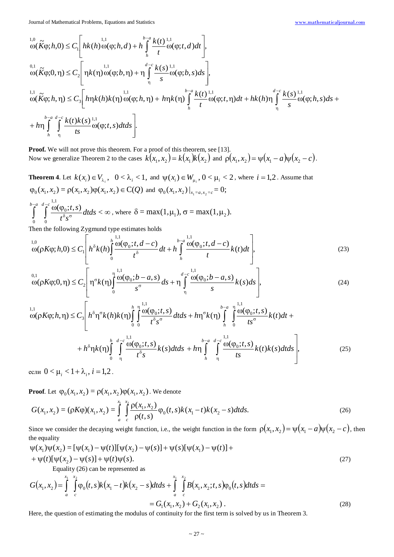$$
L_{0}^{1,0}(\tilde{K}\varphi;h,0) \leq C_{1} \Bigg[ hk(h) \omega(\varphi;h,d) + h \int_{h}^{b-a} \frac{k(t)^{1,1}}{t} \omega(\varphi;t,d) dt \Bigg],
$$
  
\n
$$
\omega(\tilde{K}\varphi;0,\eta) \leq C_{2} \Bigg[ \eta k(\eta) \omega(\varphi;h,\eta) + \eta \int_{\eta}^{d-c} \frac{k(s)^{1,1}}{s} \omega(\varphi;b,s) ds \Bigg],
$$
  
\n
$$
L_{0}^{1,1}(\tilde{K}\varphi;h,\eta) \leq C_{3} \Bigg[ h\eta k(h)k(\eta) \omega(\varphi;h,\eta) + h\eta k(\eta) \int_{h}^{b-a} \frac{k(t)^{1,1}}{t} \omega(\varphi;t,\eta) dt + hk(h)\eta \int_{\eta}^{d-c} \frac{k(s)^{1,1}}{s} \omega(\varphi;h,s) ds +
$$
  
\n
$$
+ h\eta \int_{h}^{b-a} \int_{\eta}^{d-c} \frac{k(t)k(s)^{1,1}}{ts} \omega(\varphi;t,s) dt ds \Bigg].
$$

**Proof.** We will not prove this theorem. For a proof of this theorem, see [13]. Now we generalize Theorem 2 to the cases  $k(x_1, x_2) = k(x_1)k(x_2)$  and  $\rho(x_1, x_2) = \psi(x_1 - a)\psi(x_2 - c)$ .

**Theorem 4.** Let  $k(x_i) \in V_{\lambda_i}$ ,  $0 < \lambda_i < 1$ , and  $\psi(x_i) \in W_{\mu_i}$ ,  $0 < \mu_i < 2$ , where  $i = 1, 2$ . Assume that  $\varphi_0(x_1, x_2) = \varphi(x_1, x_2) \varphi(x_1, x_2) \in \mathbb{C}(\mathcal{Q})$  and  $\varphi_0(x_1, x_2)|_{x_1 = a, x_2 = c} = 0;$  $\frac{\omega(\varphi_0; t, s)}{\zeta} dt ds < \infty$  $δ$ <sub>σ</sub>  $\int^{-a}_{0} \int^{d-c} \frac{\omega(\varphi_{0};t,s)}{t^{\delta}s^{\sigma}}dtds<$ 0 0 *dtds*  $t^{\delta}s$  $\int_a^{b-a} \int_a^{d-c} \omega(\varphi_0; t, s)$ , where  $\delta = \max(1, \mu_1)$ ,  $\sigma = \max(1, \mu_2)$ .

Then the following Zygmund type estimates holds

$$
\omega(\rho K \varphi; h, 0) \le C_1 \left[ h^{\delta} k(h) \int_0^h \frac{\omega(\varphi_0; t, d - c)}{t^{\delta}} dt + h \int_h^{b-a} \frac{\omega(\varphi_0; t, d - c)}{t} k(t) dt \right],
$$
\n(23)

$$
\omega_{0,1}^{0,1} \omega_{0,1}(\rho K \varphi; 0, \eta) \le C_2 \left[ \eta^{\sigma} k(\eta) \int_0^{\eta} \frac{\omega(\varphi_0; b - a, s)}{s^{\sigma}} ds + \eta \int_0^{d-c} \frac{\omega(\varphi_0; b - a, s)}{s} k(s) ds \right],
$$
\n(24)

$$
\omega(\rho K\varphi; h, \eta) \leq C_3 \left[ h^{\delta} \eta^{\sigma} k(h) k(\eta) \int_0^h \int_0^{\frac{n}{2}} \frac{\omega(\varphi_0; t, s)}{t^{\delta} s^{\sigma}} dt ds + h \eta^{\sigma} k(\eta) \int_h^{b-a} \int_0^{\frac{n}{2}} \frac{\omega(\varphi_0; t, s)}{ts^{\sigma}} k(t) dt + h \eta^{\delta} \eta k(\eta) \int_0^h \int_0^{d-c} \frac{\omega(\varphi_0; t, s)}{t^{\delta} s} k(s) dt ds + h \eta \int_h^{b-a} \int_0^{d-c} \frac{\omega(\varphi_0; t, s)}{ts} k(t) k(s) dt ds \right],
$$
\n(25)

если  $0 < \mu_i < 1 + \lambda_i$ ,  $i = 1, 2$ .

**Proof**. Let  $\varphi_0(x_1, x_2) = \rho(x_1, x_2)\varphi(x_1, x_2)$ . We denote

$$
G(x_1, x_2) = (\rho K \varphi)(x_1, x_2) = \int_a^x \int_c^x \frac{\rho(x_1, x_2)}{\rho(t, s)} \varphi_0(t, s) k(x_1 - t) k(x_2 - s) dt ds.
$$
\n(26)

Since we consider the decaying weight function, i.e., the weight function in the form  $\rho(x_1, x_2) = \psi(x_1 - a)\psi(x_2 - c)$ , then the equality

$$
\psi(x_1)\psi(x_2) = [\psi(x_1) - \psi(t)][\psi(x_2) - \psi(s)] + \psi(s)[\psi(x_1) - \psi(t)] + + \psi(t)[\psi(x_2) - \psi(s)] + \psi(t)\psi(s).
$$
\n(27)

Equality (26) can be represented as

$$
G(x_1, x_2) = \int_{a}^{x_1} \int_{c}^{x_2} \varphi_0(t, s) k(x_1 - t) k(x_2 - s) dt ds + \int_{a}^{x_1} \int_{c}^{x_2} B(x_1, x_2; t, s) \varphi_0(t, s) dt ds =
$$
  
=  $G_1(x_1, x_2) + G_2(x_1, x_2)$ . (28)

Here, the question of estimating the modulus of continuity for the first term is solved by us in Theorem 3.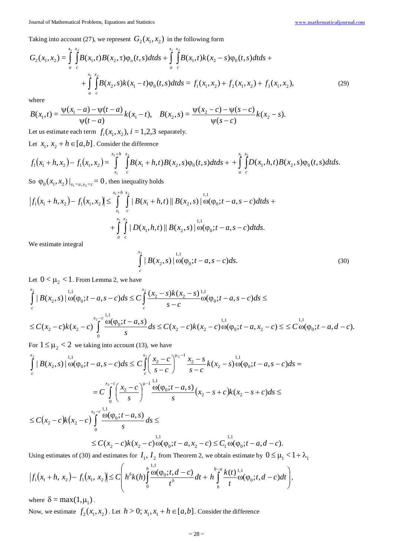Taking into account (27), we represent  $G_2(x_1, x_2)$  in the following form

$$
G_2(x_1, x_2) = \int_{a}^{x_1} \int_{c}^{x_2} B(x_1, t) B(x_2, \tau) \varphi_o(t, s) dt ds + \int_{a}^{x_1} \int_{c}^{x_2} B(x_1, t) k(x_2 - s) \varphi_o(t, s) dt ds +
$$
  
+ 
$$
\int_{a}^{x_1} \int_{c}^{x_2} B(x_2, s) k(x_1 - t) \varphi_o(t, s) dt ds = f_1(x_1, x_2) + f_2(x_1, x_2) + f_3(x_1, x_2),
$$
 (29)

where

$$
B(x_1,t) = \frac{\psi(x_1-a) - \psi(t-a)}{\psi(t-a)} k(x_1-t), \quad B(x_2,s) = \frac{\psi(x_2-c) - \psi(s-c)}{\psi(s-c)} k(x_2-s).
$$

Let us estimate each term  $f_i(x_1, x_2)$ ,  $i = 1, 2, 3$  separately.

Let  $x_1, x_2 + h \in [a, b]$ . Consider the difference

$$
f_1(x_1+h,x_2)-f_1(x_1,x_2)=\int_{x_1}^{x_1+h-x_2} \int_{c}^{x_2} B(x_1+h,t)B(x_2,s)\varphi_0(t,s)dtds+\frac{x_1}{a}\int_{c}^{x_1} D(x_1,h,t)B(x_2,s)\varphi_0(t,s)dtds.
$$

So  $\phi_0(x_1, x_2) \big|_{x_1 = a, x_2 = c} = 0$ , then inequality holds

$$
\left|f_1(x_1+h,x_2)-f_1(x_1,x_2)\right|\leq \int_{x_1}^{x_1+h-x_2} \left|B(x_1+h,t)\right||B(x_2,s)\right| \int_{-\infty}^{1,1} \omega(\varphi_0;t-a,s-c)dtds + \int_{a}^{x_1+x_2} \int_{c}^{1,2} \left|D(x_1,h,t)\right||B(x_2,s)\right| \int_{-\infty}^{1,1} \omega(\varphi_0;t-a,s-c)dtds.
$$

We estimate integral

$$
\int_{c}^{x_2} |B(x_2, s)| \, \mathrm{d}\sigma(\varphi_0; t - a, s - c) \, ds. \tag{30}
$$

Let  $0 < \mu_2 < 1$ . From Lemma 2, we have

$$
\int_{c}^{x_{2}} |B(x_{2}, s)| \omega(\varphi_{0}; t - a, s - c) ds \leq C \int_{c}^{x_{2}} \frac{(x_{2} - s)k(x_{2} - s)^{1,1}}{s - c} \omega(\varphi_{0}; t - a, s - c) ds \leq
$$
\n
$$
\leq C(x_{2} - c)k(x_{2} - c) \int_{0}^{x_{2} - c} \frac{\omega(\varphi_{0}; t - a, s)}{s} ds \leq C(x_{2} - c)k(x_{2} - c) \omega(\varphi_{0}; t - a, x_{2} - c) \leq C \omega(\varphi_{0}; t - a, d - c).
$$

For  $1 \leq \mu_2 < 2$  we taking into account (13), we have

$$
\int_{c}^{x_{2}} |B(x_{2}, s)| \omega(\varphi_{0}; t - a, s - c) ds \leq C \int_{c}^{x_{2}} \left( \frac{x_{2} - c}{s - c} \right)^{\mu_{2} - 1} \frac{x_{2} - s}{s - c} k(x_{2} - s) \omega(\varphi_{0}; t - a, s - c) ds =
$$
\n
$$
= C \int_{0}^{x_{2} - c} \left( \frac{x_{2} - c}{s} \right)^{\mu_{1} - 1} \frac{\omega(\varphi_{0}; t - a, s)}{s} (x_{2} - s + c) k(x_{2} - s + c) ds \leq
$$
\n
$$
\leq C(x_{2} - c)k(x_{2} - c) \int_{0}^{x_{2} - c} \frac{\omega(\varphi_{0}; t - a, s)}{s} ds \leq
$$
\n
$$
\leq C(x_{2} - c)k(x_{2} - c) \omega(\varphi_{0}; t - a, x_{2} - c) \leq C_{1} \omega(\varphi_{0}; t - a, d - c).
$$

Using estimates of (30) and estimates for  $I_1$ ,  $I_2$  from Theorem 2, we obtain estimate by  $0 \le \mu_1 < 1 + \lambda_1$ 

$$
\left|f_1(x_1+h,x_2)-f_1(x_1,x_2)\right|\leq C\left(h^{\delta}k(h)\int_{0}^{h}\frac{\omega(\varphi_0;t,d-c)}{t^{\delta}}dt+h\int_{h}^{h-a}\frac{k(t)^{1,1}}{t}\omega(\varphi_0;t,d-c)dt\right),
$$

where  $\delta = \max(1, \mu_1)$ .

Now, we estimate  $f_2(x_1, x_2)$ . Let  $h > 0$ ;  $x_1, x_1 + h \in [a, b]$ . Consider the difference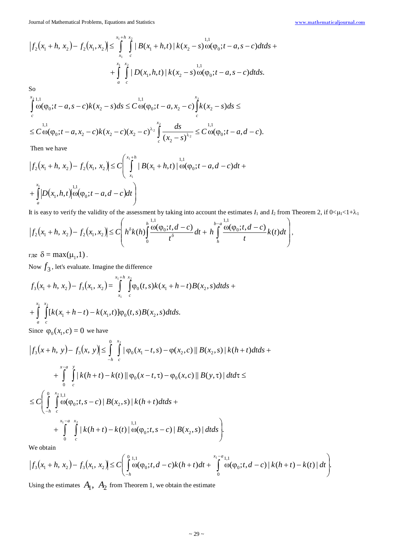Journal of Mathematical Problems, Equations and Statistics [www.mathematicaljournal.com](file://server/test/mathematicaljournal.com/issue/1%20Vol/1%20issue/www.mathematicaljournal.com)

$$
\left|f_{2}(x_{1}+h, x_{2})-f_{2}(x_{1}, x_{2})\right| \leq \int_{x_{1}}^{x_{1}+h} \int_{c}^{x_{2}} |B(x_{1}+h, t)| k(x_{2}-s) \omega(\varphi_{0}; t-a, s-c) dt ds + \int_{a}^{x_{1}} \int_{c}^{x_{2}} |D(x_{1}, h, t)| k(x_{2}-s) \omega(\varphi_{0}; t-a, s-c) dt ds.
$$

So

$$
\int_{c}^{x_{2}} \omega(\varphi_{0}; t-a, s-c) k(x_{2}-s) ds \leq C \omega(\varphi_{0}; t-a, x_{2}-c) \int_{c}^{x_{2}} k(x_{2}-s) ds \leq
$$
  

$$
\leq C \omega(\varphi_{0}; t-a, x_{2}-c) k(x_{2}-c) (x_{2}-c)^{\lambda_{2}} \int_{c}^{x_{2}} \frac{ds}{(x_{2}-s)^{\lambda_{2}}} \leq C \omega(\varphi_{0}; t-a, d-c).
$$

Then we have

$$
\begin{aligned} \left| f_2(x_1 + h, x_2) - f_2(x_1, x_2) \right| &\le C \left( \int_{x_1}^{x_1 + h} \left| B(x_1 + h, t) \right| \omega(\varphi_0; t - a, d - c) dt + \\ &+ \int_a^{x_1} \left| D(x_1, h, t) \right| \omega(\varphi_0; t - a, d - c) dt \right) \end{aligned}
$$

It is easy to verify the validity of the assessment by taking into account the estimates  $I_1$  and  $I_2$  from Theorem 2, if  $0<\mu_1<1+\lambda_1$ 

$$
\left|f_2(x_1+h,x_2)-f_2(x_1,x_2)\right|\leq C\left(h^{\delta}k(h)\int_{0}^{h}\frac{\omega(\varphi_0;t,d-c)}{t^{\delta}}dt+h\int_{h}^{h-a}\frac{\omega(\varphi_0;t,d-c)}{t}k(t)dt\right),
$$

где  $\delta = \max(\mu_1, 1)$ .

Now  $f_3$ , let's evaluate. Imagine the difference

$$
f_3(x_1 + h, x_2) - f_3(x_1, x_2) = \int_{x_1}^{x_1 + h} \int_{c}^{x_2} \varphi_0(t, s) k(x_1 + h - t) B(x_2, s) dt ds + \int_{a}^{x_1} \int_{c}^{x_2} [k(x_1 + h - t) - k(x_1, t)] \varphi_0(t, s) B(x_2, s) dt ds.
$$

Since  $\varphi_0(x_1, c) = 0$  we have

$$
\begin{split}\n\left|f_{3}(x+h, y)-f_{3}(x, y)\right| &\leq \int_{-h}^{0} \int_{c}^{x_{2}} \left| \varphi_{0}(x_{1}-t, s)-\varphi(x_{2}, c) \right| \left| B(x_{2}, s)\right| k(h+t) dt ds + \\
&+ \int_{0}^{x-a} \int_{c}^{y} \left| k(h+t)-k(t) \right| \left| \varphi_{0}(x-t, \tau)-\varphi_{0}(x, c) \right| \left| B(y, \tau) \right| dt d\tau \leq \\
&\leq C \left( \int_{-h}^{0} \int_{c}^{x_{2}} \left| \varphi_{0}(\varphi_{0}; t, s-c) \right| B(x_{2}, s) \right| k(h+t) dt ds + \\
&+ \int_{0}^{x_{1}-a} \int_{c}^{x_{2}} \left| k(h+t)-k(t) \right| \left| \varphi_{0}(t, s-c) \right| B(x_{2}, s) \right| dt ds \right). \n\end{split}
$$

We obtain

$$
\left|f_3(x_1+h,x_2)-f_3(x_1,x_2)\right|\leq C\left(\int\limits_{-h}^{0}\omega(\varphi_0;t,d-c)k(h+t)dt+\int\limits_{0}^{x_1-a} \omega(\varphi_0;t,d-c)\left|k(h+t)-k(t)\right|dt\right).
$$

Using the estimates  $A_1$ ,  $A_2$  from Theorem 1, we obtain the estimate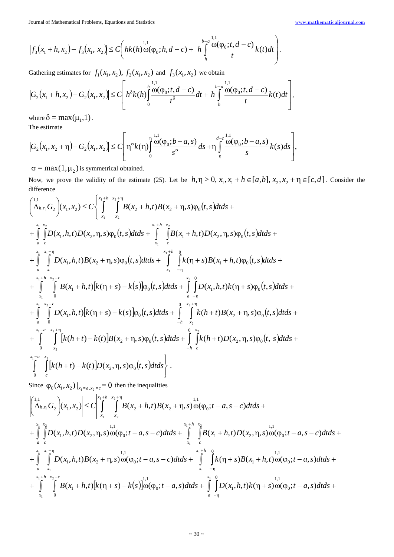$$
\left|f_3(x_1+h,x_2)-f_3(x_1,x_2)\right|\leq C\left(hk(h)\omega(\varphi_0;h,d-c)+h\int\limits_{h}^{b-a}\frac{\omega(\varphi_0;t,d-c)}{t}k(t)dt\right).
$$

Gathering estimates for  $f_1(x_1, x_2)$ ,  $f_2(x_1, x_2)$  and  $f_3(x_1, x_2)$  we obtain

$$
\left|G_2(x_1+h,x_2)-G_2(x_1,x_2)\right|\leq C\left[h^{\delta}k(h)\int\limits_{0}^{h}\frac{\omega(\varphi_0;t,d-c)}{t^{\delta}}dt+h\int\limits_{h}^{b-a}\frac{\omega(\varphi_0;t,d-c)}{t}k(t)dt\right],
$$

where  $\delta = \max(\mu_1, 1)$ .

The estimate

$$
\left|G_2(x_1, x_2 + \eta) - G_2(x_1, x_2)\right| \le C \left[\eta^{\sigma} k(\eta) \int_0^{\eta} \frac{\omega(\varphi_0; b - a, s)}{s^{\sigma}} ds + \eta \int_{\eta}^{d-c} \frac{\omega(\varphi_0; b - a, s)}{s} k(s) ds\right],
$$

 $\sigma = \max(1, \mu_2)$  is symmetrical obtained.

Now, we prove the validity of the estimate (25). Let be  $h, \eta > 0$ ,  $x_1, x_1 + h \in [a, b]$ ,  $x_2, x_2 + \eta \in [c, d]$ . Consider the difference

$$
\begin{aligned}\n&\left(\sum_{h,\eta}^{1,1}G_{2}\right)(x_{1},x_{2}) \leq C\left\{\int_{x_{1}}^{x_{1}+h} \int_{x_{2}}^{x_{2}+h} B(x_{2}+h,t)B(x_{2}+\eta,s)\varphi_{0}(t,s)dt ds + \right.\\& +\int_{a}^{x_{1}} \int_{c}^{x_{2}} D(x_{1},h,t)D(x_{2},\eta,s)\varphi_{0}(t,s)dt ds + \int_{x_{1}}^{x_{1}+h} \int_{c}^{x_{2}} B(x_{1}+h,t)D(x_{2},\eta,s)\varphi_{0}(t,s)dt ds + \right.\\& +\int_{a}^{x_{1}} \int_{x_{1}}^{x_{1}+h} D(x_{1},h,t)B(x_{2}+\eta,s)\varphi_{0}(t,s)dt ds + \int_{x_{1}}^{x_{1}+h} \int_{-\eta}^{0} k(\eta+s)B(x_{1}+h,t)\varphi_{0}(t,s)dt ds + \left. + \int_{x_{1}}^{x_{1}+h} \int_{0}^{x_{2}-c} B(x_{1}+h,t)\left[k(\eta+s)-k(s)\right]\varphi_{0}(t,s)dt ds + \int_{a_{1}}^{x_{1}} \int_{-\eta}^{0} D(x_{1},h,t)k(\eta+s)\varphi_{0}(t,s)dt ds + \right.\\& +\int_{a_{1}}^{x_{1}} \int_{0}^{x_{2}-c} D(x_{1},h,t)\left[k(\eta+s)-k(s)\right]\varphi_{0}(t,s)dt ds + \int_{-h}^{0} \int_{x_{2}}^{x_{2}+h} k(h+t)B(x_{2}+\eta,s)\varphi_{0}(t,s)dt ds + \left. + \int_{0}^{x_{1}-a} \int_{x_{2}}^{x_{1}-h} \int_{x_{1}}^{x_{1}-a} \int_{x_{2}}^{x_{2}+h} \left[k(h+t)-k(t)\right]B(x_{2}+\eta,s)\varphi_{0}(t,s)dt ds + \int_{-h}^{0} \int_{c}^{x_{2}} k(h+t)D(x_{2},\eta,s)\varphi_{0}(t,s)dt ds + \left. + \int_{0}^{x_{1}-a} \int_{x_{2}}^{x_{2}} \int_{c}^{x_{1}} k(h+t) - k(t)D(x_{2},\eta,s)\varphi_{0}(t,s)dt ds \right\}.\n\end{aligned}
$$

Since  $\varphi_0(x_1, x_2)|_{x_1 = a, x_2 = c} = 0$  then the inequalities

$$
\left| \left( \bigwedge_{A_{n}}^{1,1} G_{2} \right) (x_{1}, x_{2}) \right| \leq C \left| \int_{x_{1}}^{x_{1} + h} \bigwedge_{x_{2} + \eta_{2}}^{x_{2} + \eta_{2}} B(x_{2} + h, t) B(x_{2} + \eta, s) \omega(\varphi_{0}; t - a, s - c) dt ds + \right|_{x_{1}}^{1,1} \int_{a}^{1,1} D(x_{1}, h, t) D(x_{2}, \eta, s) \omega(\varphi_{0}; t - a, s - c) dt ds + \int_{x_{1}}^{x_{1} + h} \bigwedge_{x_{2}}^{x_{2}} B(x_{1} + h, t) D(x_{2}, \eta, s) \omega(\varphi_{0}; t - a, s - c) dt ds + \int_{x_{1}}^{1,1} \int_{c}^{1,1} D(x_{1}, h, t) B(x_{2} + \eta, s) \omega(\varphi_{0}; t - a, s - c) dt ds + \int_{x_{1}}^{1,1} \int_{x_{1}}^{1,1} k(\eta + s) B(x_{1} + h, t) \omega(\varphi_{0}; t - a, s) dt ds + \int_{x_{1}}^{1,1} \int_{x_{1}}^{1} k(\eta + s) B(x_{1} + h, t) \omega(\varphi_{0}; t - a, s) dt ds + \int_{x_{1}}^{x_{1} + h} \int_{x_{2} - c}^{1} B(x_{1} + h, t) [k(\eta + s) - k(s)] \omega(\varphi_{0}; t - a, s) dt ds + \int_{a - \eta_{1}}^{x_{1}} \int_{a}^{1} D(x_{1}, h, t) k(\eta + s) \omega(\varphi_{0}; t - a, s) dt ds + \int_{a - \eta_{1}}^{1,1} \int_{a}^{1} D(x_{1}, h, t) K(\eta + s) \omega(\varphi_{0}; t - a, s) dt ds + \int_{a - \eta_{1}}^{1,1} \int_{a}^{1} B(x_{1} + h, t) [k(\eta + s) - k(s)] \omega(\varphi_{0}; t - a, s) dt ds + \int_{a - \eta_{1}}^{1} \int_{a}^{1} D(x_{1}, h, t) K(\eta + s) \omega(\varphi_{0}; t - a, s) dt ds + \int_{x_{1}}^{1} \int_{a}^{1} B(x_{1} + h, t) K(\eta + s) \omega(\varphi_{0
$$